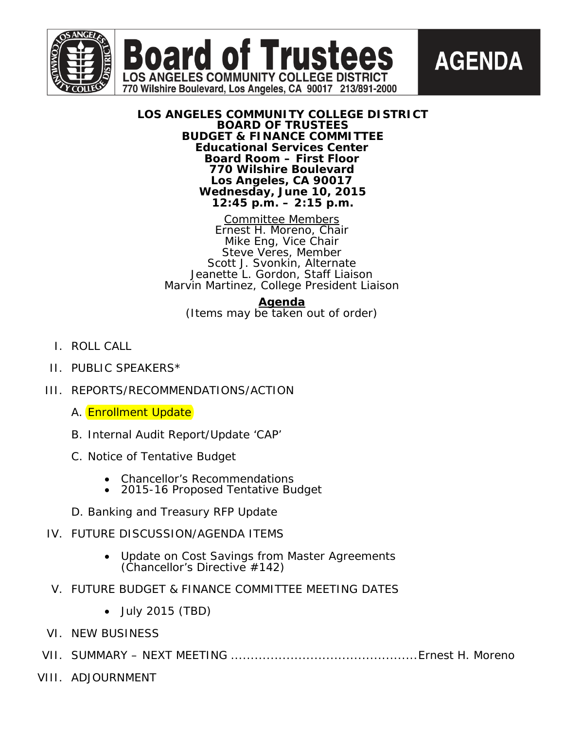



## **LOS ANGELES COMMUNITY COLLEGE DISTRICT BOARD OF TRUSTEES BUDGET & FINANCE COMMITTEE Educational Services Center Board Room – First Floor 770 Wilshire Boulevard Los Angeles, CA 90017 Wednesday, June 10, 2015 12:45 p.m. – 2:15 p.m.**

**Board of Truster** 

**LOS ANGELES COMMUNITY COLLEGE DISTRICT** 770 Wilshire Boulevard, Los Angeles, CA 90017 213/891-2000

> Committee Members Ernest H. Moreno, Chair Mike Eng, Vice Chair Steve Veres, Member Scott J. Svonkin, Alternate Jeanette L. Gordon, Staff Liaison Marvin Martinez, College President Liaison

## **Agenda**

(Items may be taken out of order)

- I. ROLL CALL
- II. PUBLIC SPEAKERS\*
- III. REPORTS/RECOMMENDATIONS/ACTION
	- A. Enrollment Update
	- B. Internal Audit Report/Update 'CAP'
	- C. Notice of Tentative Budget
		- Chancellor's Recommendations
		- 2015-16 Proposed Tentative Budget
	- D. Banking and Treasury RFP Update

# IV. FUTURE DISCUSSION/AGENDA ITEMS

- Update on Cost Savings from Master Agreements (Chancellor's Directive #142)
- V. FUTURE BUDGET & FINANCE COMMITTEE MEETING DATES
	- July 2015 (TBD)
- VI. NEW BUSINESS
- VII. SUMMARY NEXT MEETING ...............................................Ernest H. Moreno
- VIII. ADJOURNMENT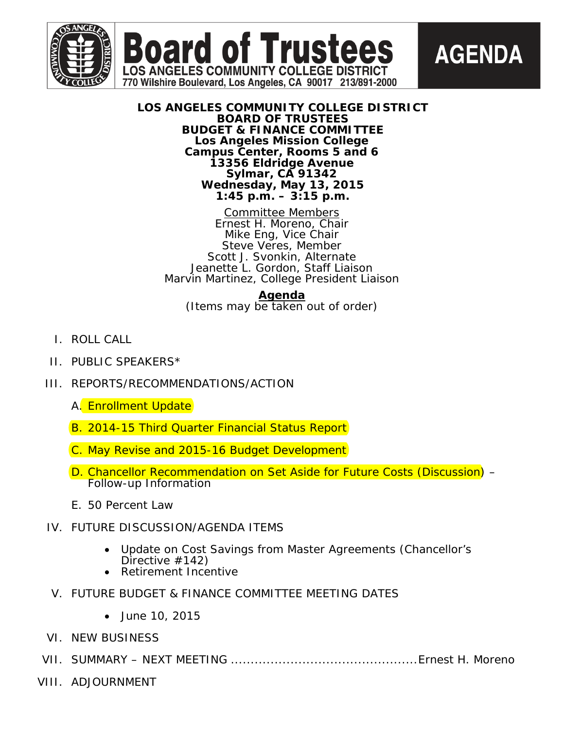





**AGENDA** 

Committee Members Ernest H. Moreno, Chair Mike Eng, Vice Chair Steve Veres, Member Scott J. Svonkin, Alternate Jeanette L. Gordon, Staff Liaison Marvin Martinez, College President Liaison

**Agenda**

(Items may be taken out of order)

- I. ROLL CALL
- II. PUBLIC SPEAKERS\*
- III. REPORTS/RECOMMENDATIONS/ACTION
	- A. Enrollment Update
	- B. 2014-15 Third Quarter Financial Status Report
	- C. May Revise and 2015-16 Budget Development
	- D. Chancellor Recommendation on Set Aside for Future Costs (Discussion) Follow-up Information
	- E. 50 Percent Law
- IV. FUTURE DISCUSSION/AGENDA ITEMS
	- Update on Cost Savings from Master Agreements (Chancellor's Directive #142)
	- Retirement Incentive
- V. FUTURE BUDGET & FINANCE COMMITTEE MEETING DATES
	- June 10, 2015
- VI. NEW BUSINESS
- VII. SUMMARY NEXT MEETING ...............................................Ernest H. Moreno
- VIII. ADJOURNMENT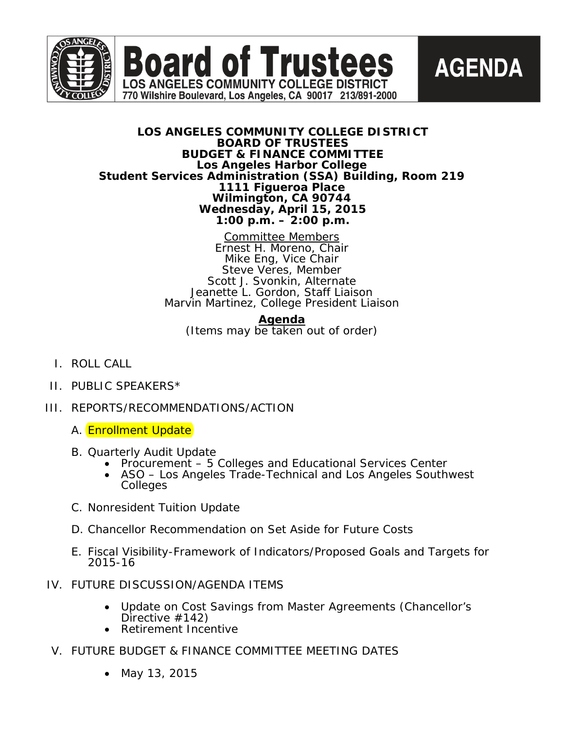

**Board of Trustees LOS ANGELES COMMUNITY COLLEGE DISTRICT** 

770 Wilshire Boulevard, Los Angeles, CA 90017 213/891-2000



## **LOS ANGELES COMMUNITY COLLEGE DISTRICT BOARD OF TRUSTEES BUDGET & FINANCE COMMITTEE Los Angeles Harbor College Student Services Administration (SSA) Building, Room 219 1111 Figueroa Place Wilmington, CA 90744 Wednesday, April 15, 2015 1:00 p.m. – 2:00 p.m.**

Committee Members Ernest H. Moreno, Chair Mike Eng, Vice Chair Steve Veres, Member Scott J. Svonkin, Alternate Jeanette L. Gordon, Staff Liaison Marvin Martinez, College President Liaison

## **Agenda**

(Items may be taken out of order)

- I. ROLL CALL
- II. PUBLIC SPEAKERS\*
- III. REPORTS/RECOMMENDATIONS/ACTION
	- A. Enrollment Update
	-
	- B. Quarterly Audit Update Procurement 5 Colleges and Educational Services Center ASO Los Angeles Trade-Technical and Los Angeles Southwest
		- Colleges
	- C. Nonresident Tuition Update
	- D. Chancellor Recommendation on Set Aside for Future Costs
	- E. Fiscal Visibility-Framework of Indicators/Proposed Goals and Targets for 2015-16
- IV. FUTURE DISCUSSION/AGENDA ITEMS
	- Update on Cost Savings from Master Agreements (Chancellor's Directive #142)
	- Retirement Incentive
- V. FUTURE BUDGET & FINANCE COMMITTEE MEETING DATES
	- May 13, 2015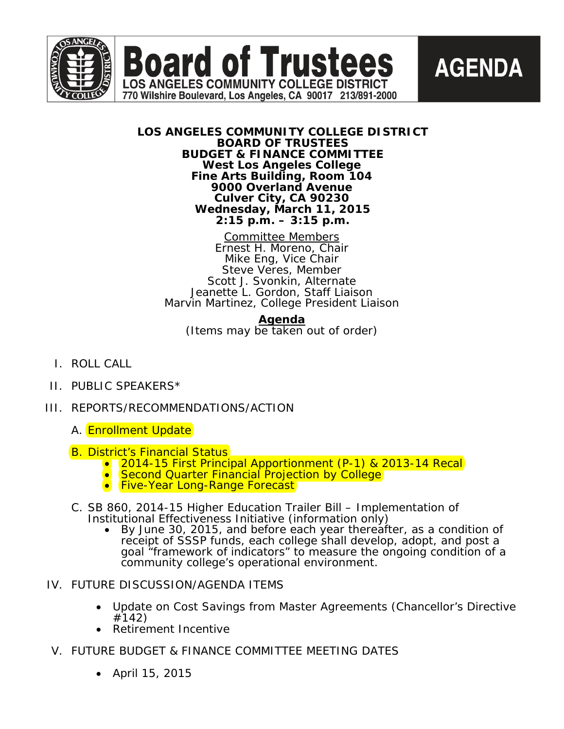



## **LOS ANGELES COMMUNITY COLLEGE DISTRICT BOARD OF TRUSTEES BUDGET & FINANCE COMMITTEE West Los Angeles College Fine Arts Building, Room 104 9000 Overland Avenue Culver City, CA 90230 Wednesday, March 11, 2015 2:15 p.m. – 3:15 p.m.**

**Board of Trustees** 

**LOS ANGELES COMMUNITY COLLEGE DISTRICT** 770 Wilshire Boulevard, Los Angeles, CA 90017 213/891-2000

> Committee Members Ernest H. Moreno, Chair Mike Eng, Vice Chair Steve Veres, Member Scott J. Svonkin, Alternate Jeanette L. Gordon, Staff Liaison Marvin Martinez, College President Liaison

**Agenda** (Items may be taken out of order)

- I. ROLL CALL
- II. PUBLIC SPEAKERS\*
- III. REPORTS/RECOMMENDATIONS/ACTION
	- A. Enrollment Update
	-
	- B. District's Financial Status<br>• 2014-15 First Principal Apportionment (P-1) & 2013-14 Recal<br>• Second Quarter Financial Projection by College<br>• Five-Year Long-Range Forecast
		-
		-
	- C. SB 860, 2014-15 Higher Education Trailer Bill Implementation of
		- By June 30, 2015, and before each year thereafter, as a condition of *receipt of SSSP funds, each college shall develop, adopt, and post a goal "framework of indicators" to measure the ongoing condition of a community college's operational environment.*
- IV. FUTURE DISCUSSION/AGENDA ITEMS
	- Update on Cost Savings from Master Agreements (Chancellor's Directive #142)
	- Retirement Incentive
- V. FUTURE BUDGET & FINANCE COMMITTEE MEETING DATES
	- April 15, 2015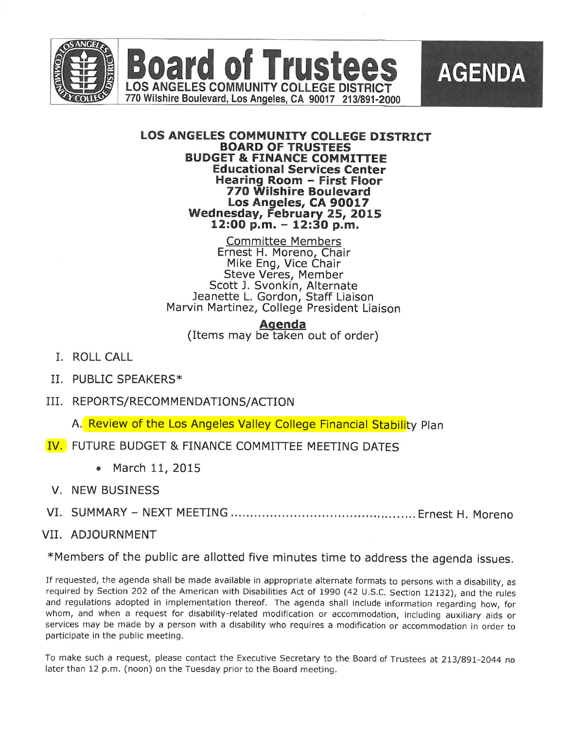

#### LOS ANGELES COMMUNITY COLLEGE DISTRICT BOARD OF TRUSTEES BUDGET & FINANCE COMMITTEE Educational Services Center Hearing Room - First Floor 770 Wilshire Boulevard Los Angeles, CA 90017 Wednesday, February 25, 2015  $12:00$  p.m.  $-12:30$  p.m.

**Committee Members** Ernest H. Moreno, Chair Mike Eng, Vice Chair Steve Veres, Member Scott J. Svonkin, Alternate Jeanette L. Gordon, Staff Liaison Marvin Martinez, College President Liaison

Agenda

(Items may be taken out of order)

- I. ROLL CALL
- II. PUBLIC SPEAKERS\*
- III. REPORTS/RECOMMENDATIONS/ACTION

A. Review of the Los Angeles Valley College Financial Stability Plan

- IV. FUTURE BUDGET & FINANCE COMMITTEE MEETING DATES
	- March 11, 2015
- V. NEW BUSINESS
- VI. SUMMARY- NEXT MEETING............................................... Ernest H. Moreno

## VII. ADJOURNMENT

^Members of the public are allotted five minutes time to address the agenda issues.

If requested, the agenda shall be made available in appropriate alternate formats to persons with a disability, as required by Section 202 of the American with Disabilities Act of 1990 (42 U.S.C. Section 12132), and the rules and regulations adopted in implementation thereof. The agenda shall include information regarding how, for whom, and when a request for disability-related modification or accommodation, including auxiliary aids or services may be made by a person with a disability who requires a modification or accommodation in order to participate in the public meeting.

To make such a request, please contact the Executive Secretary to the Board of Trustees at 213/891-2044 no later than 12 p.m. (noon) on the Tuesday prior to the Board meeting.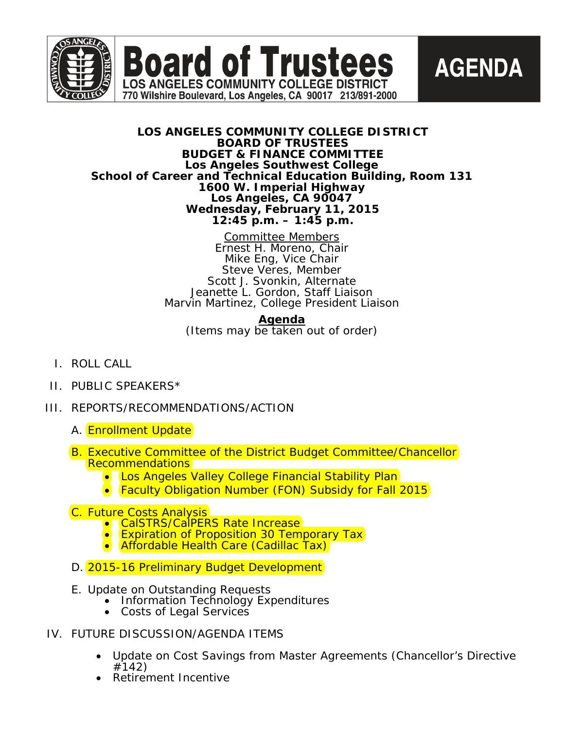

**Board of Trustees LOS ANGELES COMMUNITY COLLEGE DISTRICT** 

770 Wilshire Boulevard, Los Angeles, CA 90017 213/891-2000



## **LOS ANGELES COMMUNITY COLLEGE DISTRICT BOARD OF TRUSTEES BUDGET & FINANCE COMMITTEE Los Angeles Southwest College School of Career and Technical Education Building, Room 131 1600 W. Imperial Highway Los Angeles, CA 90047 Wednesday, February 11, 2015 12:45 p.m. – 1:45 p.m.**

Committee Members Ernest H. Moreno, Chair Mike Eng, Vice Chair Steve Veres, Member Scott J. Svonkin, Alternate Jeanette L. Gordon, Staff Liaison Marvin Martinez, College President Liaison

**Agenda**

(Items may be taken out of order)

- I. ROLL CALL
- II. PUBLIC SPEAKERS\*
- III. REPORTS/RECOMMENDATIONS/ACTION
	- A. **Enrollment Update**
	- B. Executive Committee of the District Budget Committee/Chancellor Recommendations
		- Los Angeles Valley College Financial Stability Plan
		- Faculty Obligation Number (FON) Subsidy for Fall 2015
	- -
	- C. Future Costs Analysis<br>• CalSTRS/CalPERS Rate Increase<br>• Expiration of Proposition 30 Temporary Tax<br>• Affordable Health Care (Cadillac Tax)
		-
	- D. 2015-16 Preliminary Budget Development
	- E. Update on Outstanding Requests
		- Information Technology Expenditures
		- Costs of Legal Services
- IV. FUTURE DISCUSSION/AGENDA ITEMS
	- Update on Cost Savings from Master Agreements (Chancellor's Directive<br>#142)
	- **Retirement Incentive**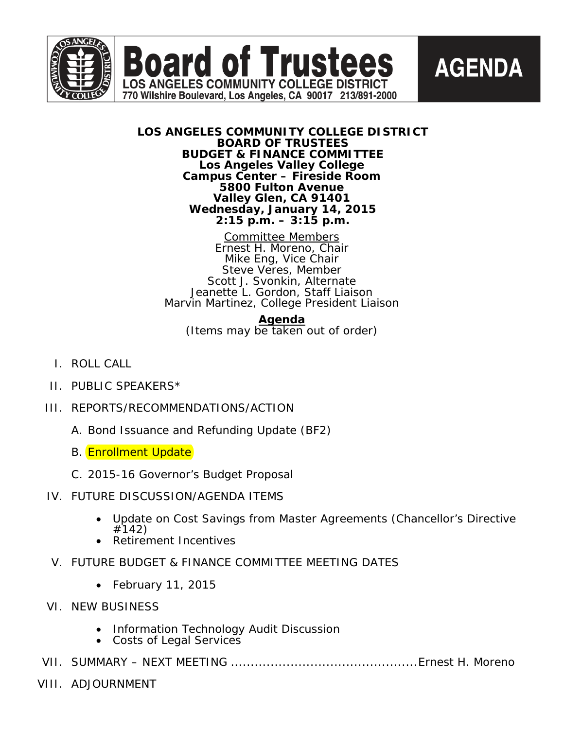



## **LOS ANGELES COMMUNITY COLLEGE DISTRICT BOARD OF TRUSTEES BUDGET & FINANCE COMMITTEE Los Angeles Valley College Campus Center – Fireside Room 5800 Fulton Avenue Valley Glen, CA 91401 Wednesday, January 14, 2015 2:15 p.m. – 3:15 p.m.**

770 Wilshire Boulevard, Los Angeles, CA 90017 213/891-2000

Committee Members Ernest H. Moreno, Chair Mike Eng, Vice Chair Steve Veres, Member Scott J. Svonkin, Alternate Jeanette L. Gordon, Staff Liaison Marvin Martinez, College President Liaison

## **Agenda**

(Items may be taken out of order)

- I. ROLL CALL
- II. PUBLIC SPEAKERS\*
- III. REPORTS/RECOMMENDATIONS/ACTION
	- A. Bond Issuance and Refunding Update (BF2)
	- B. **Enrollment Update**
	- C. 2015-16 Governor's Budget Proposal

# IV. FUTURE DISCUSSION/AGENDA ITEMS

- Update on Cost Savings from Master Agreements (Chancellor's Directive #142) • Retirement Incentives
- 
- V. FUTURE BUDGET & FINANCE COMMITTEE MEETING DATES
	- February 11, 2015
- VI. NEW BUSINESS
	- Information Technology Audit Discussion
	- Costs of Legal Services
- VII. SUMMARY NEXT MEETING ...............................................Ernest H. Moreno
- VIII. ADJOURNMENT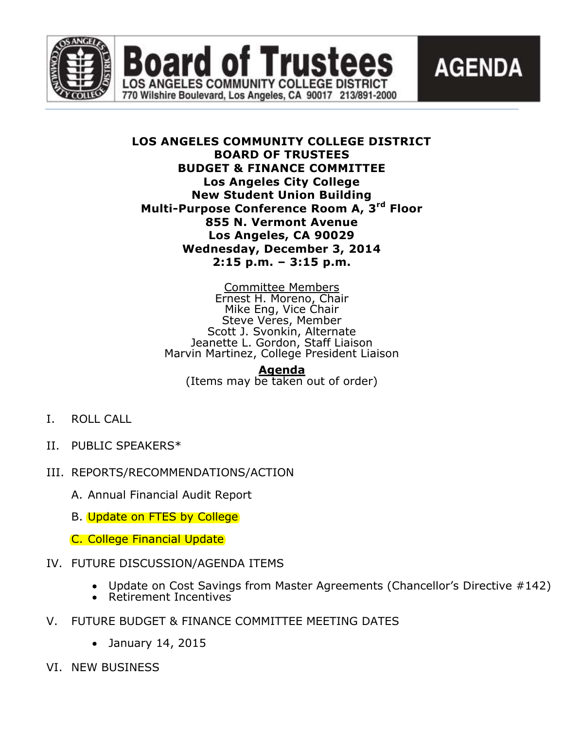



# **LOS ANGELES COMMUNITY COLLEGE DISTRICT BOARD OF TRUSTEES BUDGET & FINANCE COMMITTEE Los Angeles City College New Student Union Building Multi-Purpose Conference Room A, 3rd Floor 855 N. Vermont Avenue Los Angeles, CA 90029 Wednesday, December 3, 2014 2:15 p.m. – 3:15 p.m.**

oard of Trustees

**LOS ANGELES COMMUNITY COLLEGE DISTRICT** 770 Wilshire Boulevard, Los Angeles, CA 90017 213/891-2000

> Committee Members Ernest H. Moreno, Chair Mike Eng, Vice Chair Steve Veres, Member Scott J. Svonkin, Alternate Jeanette L. Gordon, Staff Liaison Marvin Martinez, College President Liaison

**Agenda** (Items may be taken out of order)

- I. ROLL CALL
- II. PUBLIC SPEAKERS\*
- III. REPORTS/RECOMMENDATIONS/ACTION
	- A. Annual Financial Audit Report
	- B. Update on FTES by College

C. College Financial Update

# IV. FUTURE DISCUSSION/AGENDA ITEMS

- Update on Cost Savings from Master Agreements (Chancellor's Directive #142)
- Retirement Incentives
- V. FUTURE BUDGET & FINANCE COMMITTEE MEETING DATES
	- January 14, 2015
- VI. NEW BUSINESS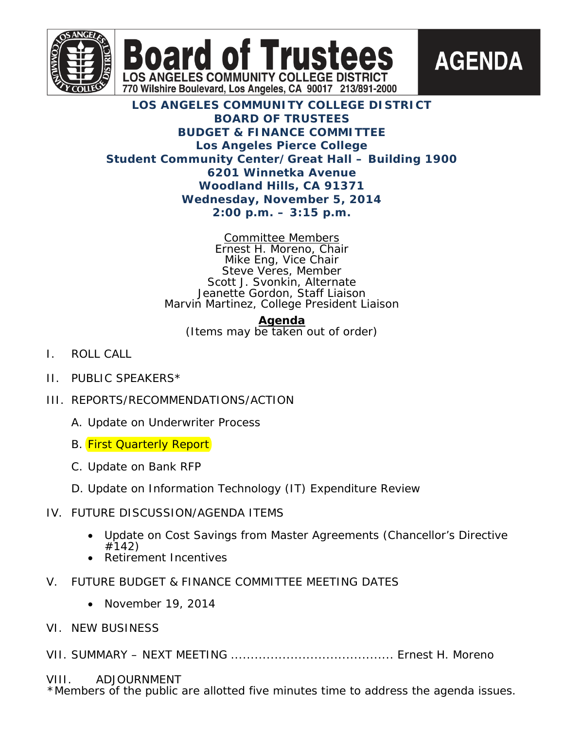



# **LOS ANGELES COMMUNITY COLLEGE DISTRICT BOARD OF TRUSTEES BUDGET & FINANCE COMMITTEE Los Angeles Pierce College Student Community Center/Great Hall – Building 1900 6201 Winnetka Avenue Woodland Hills, CA 91371 Wednesday, November 5, 2014 2:00 p.m. – 3:15 p.m.**

**Board of Trusted** 

**LOS ANGELES COMMUNITY COLLEGE DISTRICT** 770 Wilshire Boulevard, Los Angeles, CA 90017 213/891-2000

> Committee Members Ernest H. Moreno, Chair Mike Eng, Vice Chair Steve Veres, Member Scott J. Svonkin, Alternate Jeanette Gordon, Staff Liaison Marvin Martinez, College President Liaison

**Agenda** (Items may be taken out of order)

- I. ROLL CALL
- II. PUBLIC SPEAKERS\*
- III. REPORTS/RECOMMENDATIONS/ACTION
	- A. Update on Underwriter Process
	- **B.** First Quarterly Report
	- C. Update on Bank RFP
	- D. Update on Information Technology (IT) Expenditure Review
- IV. FUTURE DISCUSSION/AGENDA ITEMS
	- Update on Cost Savings from Master Agreements (Chancellor's Directive  $#142)$
	- Retirement Incentives
- V. FUTURE BUDGET & FINANCE COMMITTEE MEETING DATES
	- November 19, 2014
- VI. NEW BUSINESS

VII. SUMMARY – NEXT MEETING ......................................... Ernest H. Moreno

# VIII. ADJOURNMENT

\*Members of the public are allotted five minutes time to address the agenda issues.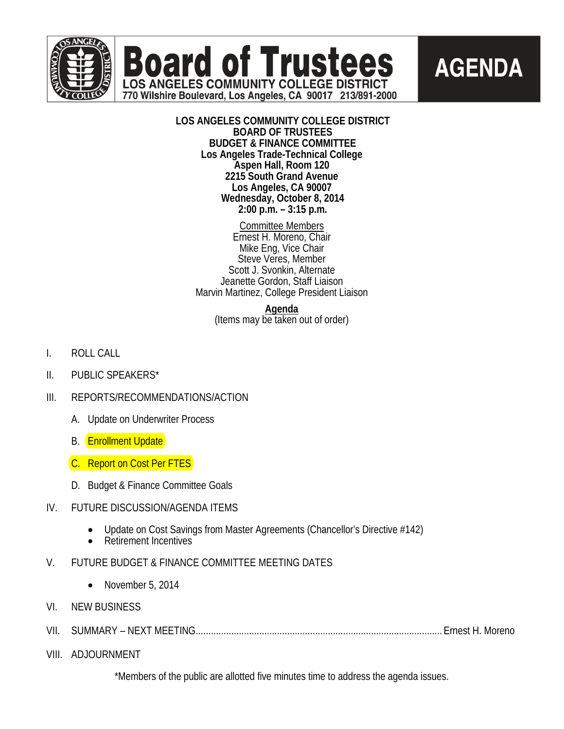



**LOS ANGELES COMMUNITY COLLEGE DISTRICT BOARD OF TRUSTEES BUDGET & FINANCE COMMITTEE Los Angeles Trade-Technical College Aspen Hall, Room 120 2215 South Grand Avenue Los Angeles, CA 90007 Wednesday, October 8, 2014 2:00 p.m. – 3:15 p.m.**

**Board of Trustees** 

**LOS ANGELES COMMUNITY COLLEGE DISTRICT** 770 Wilshire Boulevard, Los Angeles, CA 90017 213/891-2000

> Committee Members Ernest H. Moreno, Chair Mike Eng, Vice Chair Steve Veres, Member Scott J. Svonkin, Alternate Jeanette Gordon, Staff Liaison Marvin Martinez, College President Liaison

> > **Agenda**

(Items may be taken out of order)

- I. ROLL CALL
- II. PUBLIC SPEAKERS\*
- III. REPORTS/RECOMMENDATIONS/ACTION
	- A. Update on Underwriter Process
	- B. **Enrollment Update**
	- C. Report on Cost Per FTES
	- D. Budget & Finance Committee Goals

## IV. FUTURE DISCUSSION/AGENDA ITEMS

- Update on Cost Savings from Master Agreements (Chancellor's Directive #142)<br>• Retirement Incentives
- 
- V. FUTURE BUDGET & FINANCE COMMITTEE MEETING DATES
	- November 5, 2014
- VI. NEW BUSINESS
- VII. SUMMARY NEXT MEETING.................................................................................................Ernest H. Moreno
- VIII. ADJOURNMENT

\*Members of the public are allotted five minutes time to address the agenda issues.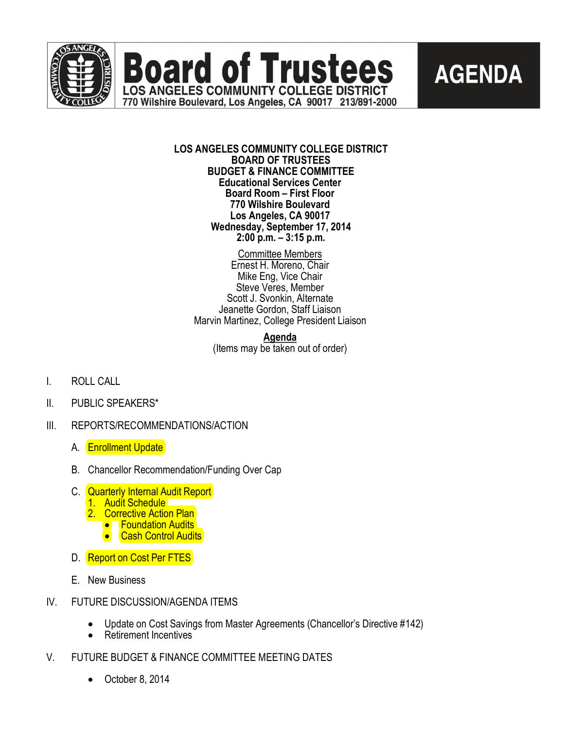

**Board of Trustees LOS ANGELES COMMUNITY COLLEGE DISTRICT** 770 Wilshire Boulevard, Los Angeles, CA 90017 213/891-2000

# **AGENDA**

#### **LOS ANGELES COMMUNITY COLLEGE DISTRICT BOARD OF TRUSTEES BUDGET & FINANCE COMMITTEE Educational Services Center Board Room – First Floor 770 Wilshire Boulevard Los Angeles, CA 90017 Wednesday, September 17, 2014 2:00 p.m. – 3:15 p.m.**

Committee Members Ernest H. Moreno, Chair Mike Eng, Vice Chair Steve Veres, Member Scott J. Svonkin, Alternate Jeanette Gordon, Staff Liaison Marvin Martinez, College President Liaison

> **Agenda** (Items may be taken out of order)

- I. ROLL CALL
- II. PUBLIC SPEAKERS\*
- III. REPORTS/RECOMMENDATIONS/ACTION
	- A. **Enrollment Update**
	- B. Chancellor Recommendation/Funding Over Cap
	- C. Quarterly Internal Audit Report
		- 1. Audit Schedule
		- 2. Corrective Action Plan<br>• Foundation Audits
			-
			- Cash Control Audits
	- D. Report on Cost Per FTES
	- E. New Business
- IV. FUTURE DISCUSSION/AGENDA ITEMS
	- · Update on Cost Savings from Master Agreements (Chancellor's Directive #142)
	- · Retirement Incentives
- V. FUTURE BUDGET & FINANCE COMMITTEE MEETING DATES
	- · October 8, 2014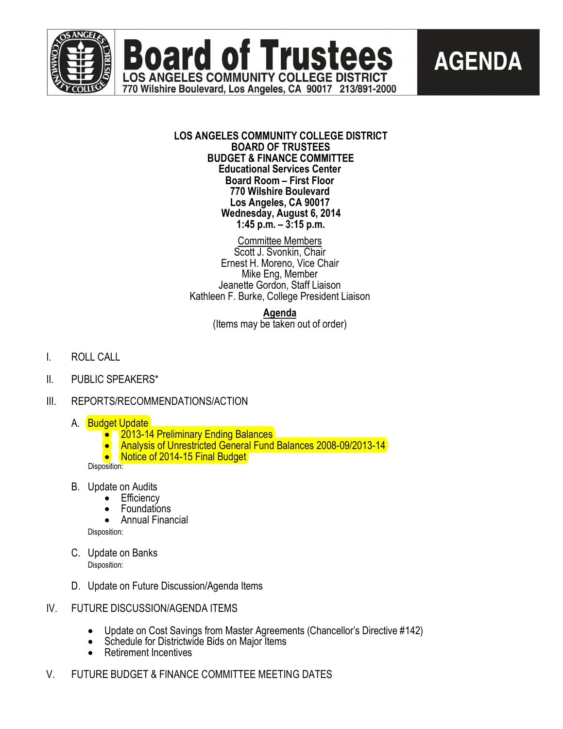



## **LOS ANGELES COMMUNITY COLLEGE DISTRICT BOARD OF TRUSTEES BUDGET & FINANCE COMMITTEE Educational Services Center Board Room – First Floor 770 Wilshire Boulevard Los Angeles, CA 90017 Wednesday, August 6, 2014 1:45 p.m. – 3:15 p.m.**

**Board of Trustees** 

**LOS ANGELES COMMUNITY COLLEGE DISTRICT** 770 Wilshire Boulevard, Los Angeles, CA 90017 213/891-2000

Committee Members

Scott J. Svonkin, Chair Ernest H. Moreno, Vice Chair Mike Eng, Member Jeanette Gordon, Staff Liaison Kathleen F. Burke, College President Liaison

> **Agenda** (Items may be taken out of order)

- I. ROLL CALL
- II. PUBLIC SPEAKERS\*
- III. REPORTS/RECOMMENDATIONS/ACTION
	-
	- A. Budget Update<br>● 2013-14 Preliminary Ending Balances
		- Analysis of Unrestricted General Fund Balances 2008-09/2013-14
		- Notice of 2014-15 Final Budget

Disposition:

- B. Update on Audits<br>Efficiency
	- - Foundations<br>• Annual Financial
		-

Disposition:

- C. Update on Banks Disposition:
- D. Update on Future Discussion/Agenda Items
- IV. FUTURE DISCUSSION/AGENDA ITEMS
	- Update on Cost Savings from Master Agreements (Chancellor's Directive #142)<br>• Schedule for Districtwide Bids on Major Items Retirement Incentives
	-
	-
- V. FUTURE BUDGET & FINANCE COMMITTEE MEETING DATES